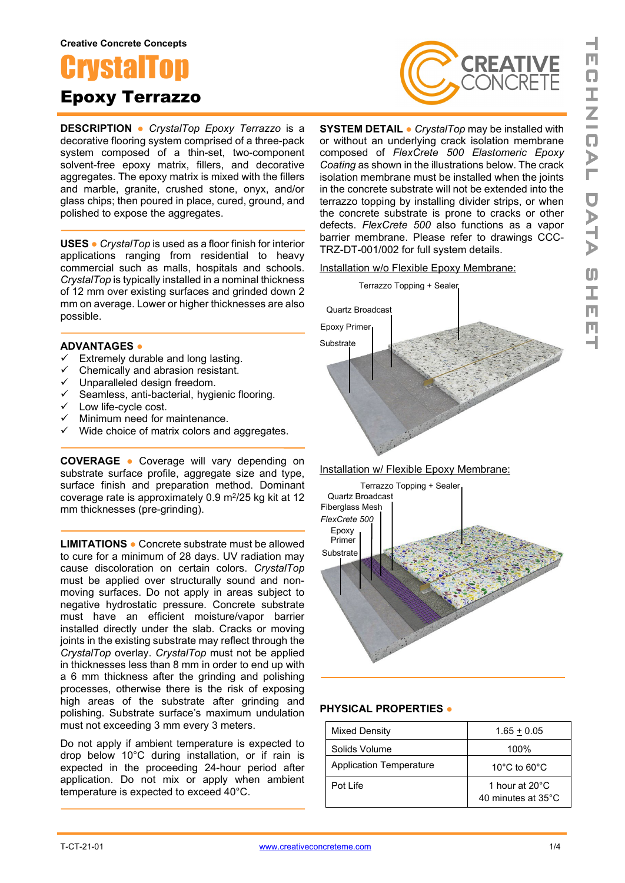#### **Creative Concrete Concepts**



**DESCRIPTION ●** *CrystalTop Epoxy Terrazzo* is a decorative flooring system comprised of a three-pack system composed of a thin-set, two-component solvent-free epoxy matrix, fillers, and decorative aggregates. The epoxy matrix is mixed with the fillers and marble, granite, crushed stone, onyx, and/or glass chips; then poured in place, cured, ground, and polished to expose the aggregates.

**USES ●** *CrystalTop* is used as a floor finish for interior applications ranging from residential to heavy commercial such as malls, hospitals and schools. *CrystalTop* is typically installed in a nominal thickness of 12 mm over existing surfaces and grinded down 2 mm on average. Lower or higher thicknesses are also possible.

### **ADVANTAGES ●**

- $\checkmark$  Extremely durable and long lasting.<br> $\checkmark$  Chemically and abrasion resistant
- Chemically and abrasion resistant.
- ↓ Unparalleled design freedom.
- Seamless, anti-bacterial, hygienic flooring. Version<br>
Seamless, anti-bac<br>
Low life-cycle cost.<br>
∠Minimum need for r
- 
- Minimum need for maintenance.
- $\checkmark$  Wide choice of matrix colors and aggregates.

**COVERAGE ●** Coverage will vary depending on substrate surface profile, aggregate size and type, surface finish and preparation method. Dominant coverage rate is approximately  $0.9 \text{ m}^2/25 \text{ kg}$  kit at 12 mm thicknesses (pre-grinding).

**LIMITATIONS ●** Concrete substrate must be allowed to cure for a minimum of 28 days. UV radiation may cause discoloration on certain colors. *CrystalTop* must be applied over structurally sound and nonmoving surfaces. Do not apply in areas subject to negative hydrostatic pressure. Concrete substrate must have an efficient moisture/vapor barrier installed directly under the slab. Cracks or moving joints in the existing substrate may reflect through the *CrystalTop* overlay. *CrystalTop* must not be applied in thicknesses less than 8 mm in order to end up with a 6 mm thickness after the grinding and polishing processes, otherwise there is the risk of exposing high areas of the substrate after grinding and polishing. Substrate surface's maximum undulation must not exceeding 3 mm every 3 meters.

Do not apply if ambient temperature is expected to drop below 10°C during installation, or if rain is expected in the proceeding 24-hour period after application. Do not mix or apply when ambient temperature is expected to exceed 40°C.



**SYSTEM DETAIL ●** *CrystalTop* may be installed with or without an underlying crack isolation membrane composed of *FlexCrete 500 Elastomeric Epoxy Coating* as shown in the illustrations below. The crack isolation membrane must be installed when the joints in the concrete substrate will not be extended into the terrazzo topping by installing divider strips, or when the concrete substrate is prone to cracks or other defects. *FlexCrete 500* also functions as a vapor barrier membrane. Please refer to drawings CCC-TRZ-DT-001/002 for full system details.

#### Installation w/o Flexible Epoxy Membrane:



Installation w/ Flexible Epoxy Membrane:



#### **PHYSICAL PROPERTIES ●**

| <b>Mixed Density</b>           | $1.65 + 0.05$                        |
|--------------------------------|--------------------------------------|
| Solids Volume                  | 100%                                 |
| <b>Application Temperature</b> | 10 $\degree$ C to 60 $\degree$ C     |
| Pot Life                       | 1 hour at 20°C<br>40 minutes at 35°C |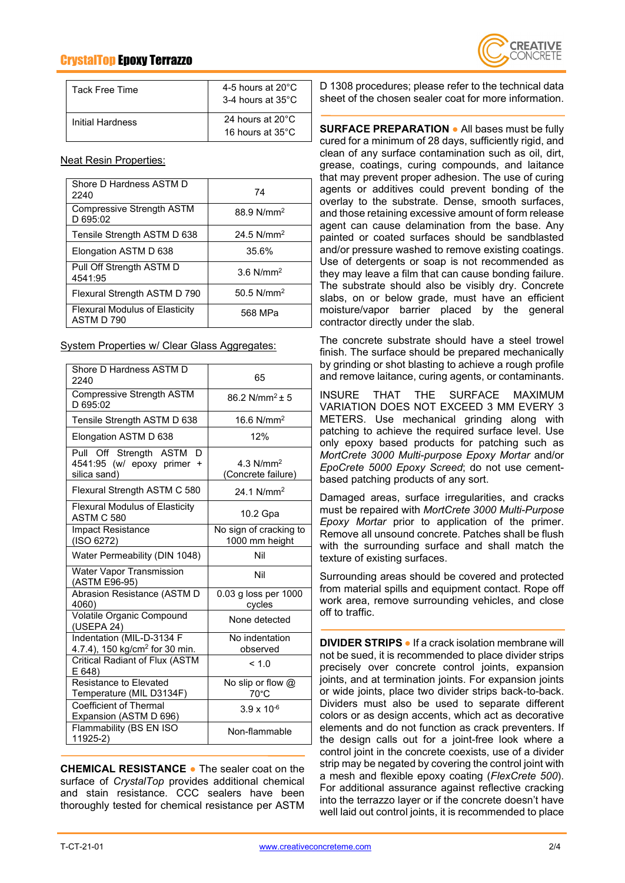# CrystalTop Epoxy Terrazzo



| Tack Free Time   | 4-5 hours at $20^{\circ}$ C<br>3-4 hours at 35°C |
|------------------|--------------------------------------------------|
| Initial Hardness | 24 hours at 20°C<br>16 hours at $35^{\circ}$ C   |

Neat Resin Properties:

| Shore D Hardness ASTM D<br>2240                     | 74                      |
|-----------------------------------------------------|-------------------------|
| <b>Compressive Strength ASTM</b><br>D 695:02        | 88.9 N/mm <sup>2</sup>  |
| Tensile Strength ASTM D 638                         | 24.5 $N/mm^2$           |
| Elongation ASTM D 638                               | 35.6%                   |
| Pull Off Strength ASTM D<br>4541:95                 | $3.6$ N/mm <sup>2</sup> |
| Flexural Strength ASTM D 790                        | 50.5 $N/mm^2$           |
| <b>Flexural Modulus of Elasticity</b><br>ASTM D 790 | 568 MPa                 |

System Properties w/ Clear Glass Aggregates:

| Shore D Hardness ASTM D<br>2240                                           | 65                                       |
|---------------------------------------------------------------------------|------------------------------------------|
| <b>Compressive Strength ASTM</b><br>D 695:02                              | $86.2$ N/mm <sup>2</sup> + 5             |
| Tensile Strength ASTM D 638                                               | 16.6 $N/mm^2$                            |
| Elongation ASTM D 638                                                     | 12%                                      |
| Pull Off Strength ASTM<br>D<br>4541:95 (w/ epoxy primer +<br>silica sand) | 4.3 $N/mm2$<br>(Concrete failure)        |
| Flexural Strength ASTM C 580                                              | 24.1 N/mm <sup>2</sup>                   |
| <b>Flexural Modulus of Elasticity</b><br>ASTM C 580                       | 10.2 Gpa                                 |
| <b>Impact Resistance</b><br>(ISO 6272)                                    | No sign of cracking to<br>1000 mm height |
| Water Permeability (DIN 1048)                                             | Nil                                      |
| <b>Water Vapor Transmission</b><br>(ASTM E96-95)                          | Nil                                      |
| Abrasion Resistance (ASTM D<br>4060)                                      | 0.03 g loss per 1000<br>cycles           |
| Volatile Organic Compound<br>(USEPA 24)                                   | None detected                            |
| Indentation (MIL-D-3134 F<br>4.7.4), 150 kg/cm <sup>2</sup> for 30 min.   | No indentation<br>observed               |
| Critical Radiant of Flux (ASTM<br>E648                                    | < 1.0                                    |
| <b>Resistance to Elevated</b><br>Temperature (MIL D3134F)                 | No slip or flow $@$<br>$70^{\circ}$ C    |
| Coefficient of Thermal<br>Expansion (ASTM D 696)                          | $3.9 \times 10^{-6}$                     |
| Flammability (BS EN ISO<br>11925-2)                                       | Non-flammable                            |

**CHEMICAL RESISTANCE ●** The sealer coat on the surface of *CrystalTop* provides additional chemical and stain resistance. CCC sealers have been thoroughly tested for chemical resistance per ASTM

D 1308 procedures; please refer to the technical data sheet of the chosen sealer coat for more information.

**SURFACE PREPARATION ●** All bases must be fully cured for a minimum of 28 days, sufficiently rigid, and clean of any surface contamination such as oil, dirt, grease, coatings, curing compounds, and laitance that may prevent proper adhesion. The use of curing agents or additives could prevent bonding of the overlay to the substrate. Dense, smooth surfaces, and those retaining excessive amount of form release agent can cause delamination from the base. Any painted or coated surfaces should be sandblasted and/or pressure washed to remove existing coatings. Use of detergents or soap is not recommended as they may leave a film that can cause bonding failure. The substrate should also be visibly dry. Concrete slabs, on or below grade, must have an efficient moisture/vapor barrier placed by the general contractor directly under the slab.

The concrete substrate should have a steel trowel finish. The surface should be prepared mechanically by grinding or shot blasting to achieve a rough profile and remove laitance, curing agents, or contaminants.

INSURE THAT THE SURFACE MAXIMUM VARIATION DOES NOT EXCEED 3 MM EVERY 3 METERS. Use mechanical grinding along with patching to achieve the required surface level. Use only epoxy based products for patching such as *MortCrete 3000 Multi-purpose Epoxy Mortar* and/or *EpoCrete 5000 Epoxy Screed*; do not use cementbased patching products of any sort.

Damaged areas, surface irregularities, and cracks must be repaired with *MortCrete 3000 Multi-Purpose Epoxy Mortar* prior to application of the primer. Remove all unsound concrete. Patches shall be flush with the surrounding surface and shall match the texture of existing surfaces.

Surrounding areas should be covered and protected from material spills and equipment contact. Rope off work area, remove surrounding vehicles, and close off to traffic.

**DIVIDER STRIPS ●** If a crack isolation membrane will not be sued, it is recommended to place divider strips precisely over concrete control joints, expansion joints, and at termination joints. For expansion joints or wide joints, place two divider strips back-to-back. Dividers must also be used to separate different colors or as design accents, which act as decorative elements and do not function as crack preventers. If the design calls out for a joint-free look where a control joint in the concrete coexists, use of a divider strip may be negated by covering the control joint with a mesh and flexible epoxy coating (*FlexCrete 500*). For additional assurance against reflective cracking into the terrazzo layer or if the concrete doesn't have well laid out control joints, it is recommended to place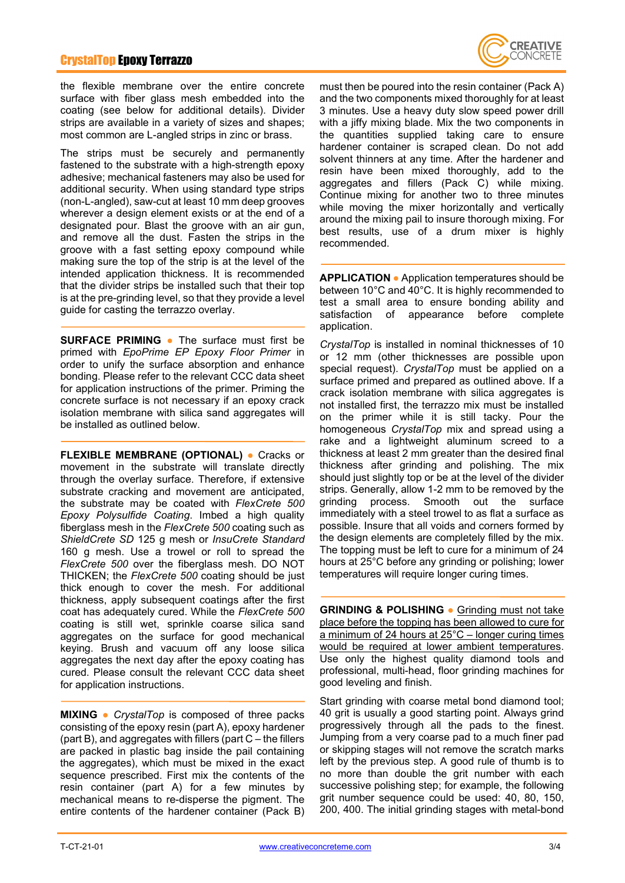### CrystalTop Epoxy Terrazzo



the flexible membrane over the entire concrete surface with fiber glass mesh embedded into the coating (see below for additional details). Divider strips are available in a variety of sizes and shapes; most common are L-angled strips in zinc or brass.

The strips must be securely and permanently fastened to the substrate with a high-strength epoxy adhesive; mechanical fasteners may also be used for additional security. When using standard type strips (non-L-angled), saw-cut at least 10 mm deep grooves wherever a design element exists or at the end of a designated pour. Blast the groove with an air gun, and remove all the dust. Fasten the strips in the groove with a fast setting epoxy compound while making sure the top of the strip is at the level of the intended application thickness. It is recommended that the divider strips be installed such that their top is at the pre-grinding level, so that they provide a level guide for casting the terrazzo overlay.

**SURFACE PRIMING ●** The surface must first be primed with *EpoPrime EP Epoxy Floor Primer* in order to unify the surface absorption and enhance bonding. Please refer to the relevant CCC data sheet for application instructions of the primer. Priming the concrete surface is not necessary if an epoxy crack isolation membrane with silica sand aggregates will be installed as outlined below.

**FLEXIBLE MEMBRANE (OPTIONAL) ●** Cracks or movement in the substrate will translate directly through the overlay surface. Therefore, if extensive substrate cracking and movement are anticipated, the substrate may be coated with *FlexCrete 500 Epoxy Polysulfide Coating*. Imbed a high quality fiberglass mesh in the *FlexCrete 500* coating such as *ShieldCrete SD* 125 g mesh or *InsuCrete Standard* 160 g mesh. Use a trowel or roll to spread the *FlexCrete 500* over the fiberglass mesh. DO NOT THICKEN; the *FlexCrete 500* coating should be just thick enough to cover the mesh. For additional thickness, apply subsequent coatings after the first coat has adequately cured. While the *FlexCrete 500* coating is still wet, sprinkle coarse silica sand aggregates on the surface for good mechanical keying. Brush and vacuum off any loose silica aggregates the next day after the epoxy coating has cured. Please consult the relevant CCC data sheet for application instructions.

**MIXING ●** *CrystalTop* is composed of three packs consisting of the epoxy resin (part A), epoxy hardener (part B), and aggregates with fillers (part C – the fillers are packed in plastic bag inside the pail containing the aggregates), which must be mixed in the exact sequence prescribed. First mix the contents of the resin container (part A) for a few minutes by mechanical means to re-disperse the pigment. The entire contents of the hardener container (Pack B)

must then be poured into the resin container (Pack A) and the two components mixed thoroughly for at least 3 minutes. Use a heavy duty slow speed power drill with a jiffy mixing blade. Mix the two components in the quantities supplied taking care to ensure hardener container is scraped clean. Do not add solvent thinners at any time. After the hardener and resin have been mixed thoroughly, add to the aggregates and fillers (Pack C) while mixing. Continue mixing for another two to three minutes while moving the mixer horizontally and vertically around the mixing pail to insure thorough mixing. For best results, use of a drum mixer is highly recommended.

**APPLICATION ●** Application temperatures should be between 10°C and 40°C. It is highly recommended to test a small area to ensure bonding ability and<br>satisfaction of appearance before complete satisfaction of appearance before complete application.

*CrystalTop* is installed in nominal thicknesses of 10 or 12 mm (other thicknesses are possible upon special request). *CrystalTop* must be applied on a surface primed and prepared as outlined above. If a crack isolation membrane with silica aggregates is not installed first, the terrazzo mix must be installed on the primer while it is still tacky. Pour the homogeneous *CrystalTop* mix and spread using a rake and a lightweight aluminum screed to a thickness at least 2 mm greater than the desired final thickness after grinding and polishing. The mix should just slightly top or be at the level of the divider strips. Generally, allow 1-2 mm to be removed by the grinding process. Smooth out the surface immediately with a steel trowel to as flat a surface as possible. Insure that all voids and corners formed by the design elements are completely filled by the mix. The topping must be left to cure for a minimum of 24 hours at 25°C before any grinding or polishing; lower temperatures will require longer curing times.

**GRINDING & POLISHING ●** Grinding must not take place before the topping has been allowed to cure for a minimum of 24 hours at 25°C – longer curing times would be required at lower ambient temperatures. Use only the highest quality diamond tools and professional, multi-head, floor grinding machines for good leveling and finish.

Start grinding with coarse metal bond diamond tool; 40 grit is usually a good starting point. Always grind progressively through all the pads to the finest. Jumping from a very coarse pad to a much finer pad or skipping stages will not remove the scratch marks left by the previous step. A good rule of thumb is to no more than double the grit number with each successive polishing step; for example, the following grit number sequence could be used: 40, 80, 150, 200, 400. The initial grinding stages with metal-bond